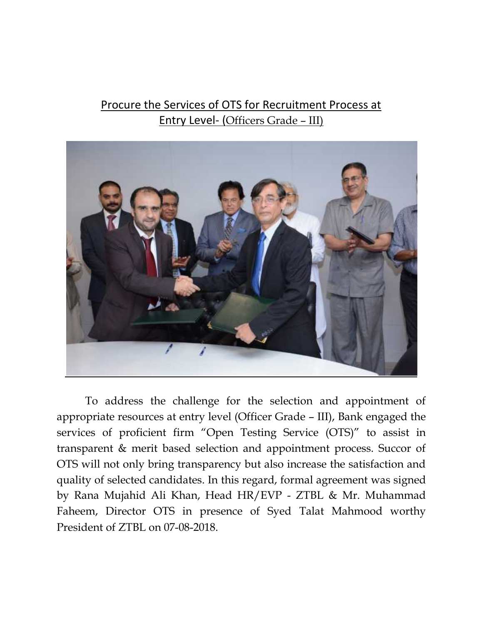## Procure the Services of OTS for Recruitment Process at Entry Level- (Officers Grade – III)



To address the challenge for the selection and appointment of appropriate resources at entry level (Officer Grade – III), Bank engaged the services of proficient firm "Open Testing Service (OTS)" to assist in transparent & merit based selection and appointment process. Succor of OTS will not only bring transparency but also increase the satisfaction and quality of selected candidates. In this regard, formal agreement was signed by Rana Mujahid Ali Khan, Head HR/EVP - ZTBL & Mr. Muhammad Faheem, Director OTS in presence of Syed Talat Mahmood worthy President of ZTBL on 07-08-2018.